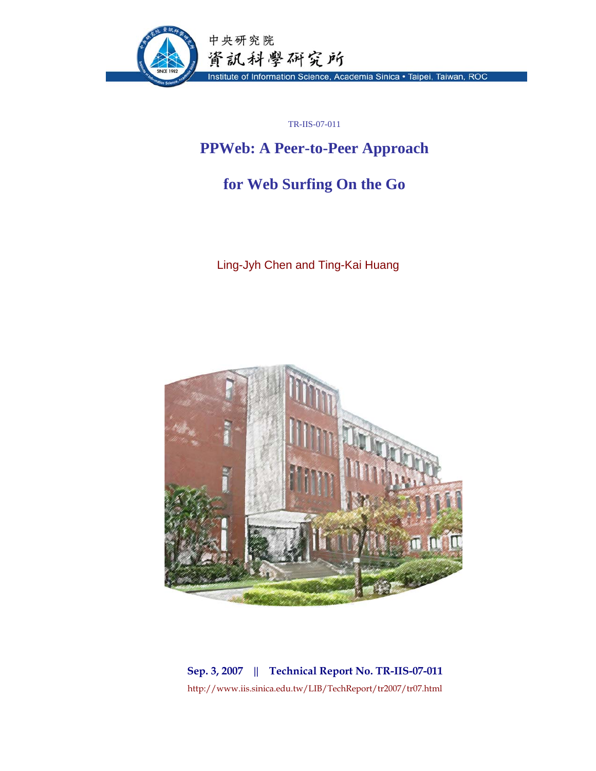

TR-IIS-07-011

# **PPWeb: A Peer-to-Peer Approach**

# **for Web Surfing On the Go**

Ling-Jyh Chen and Ting-Kai Huang



**Sep. 3, 2007 || Technical Report No. TR-IIS-07-011**  http://www.iis.sinica.edu.tw/LIB/TechReport/tr2007/tr07.html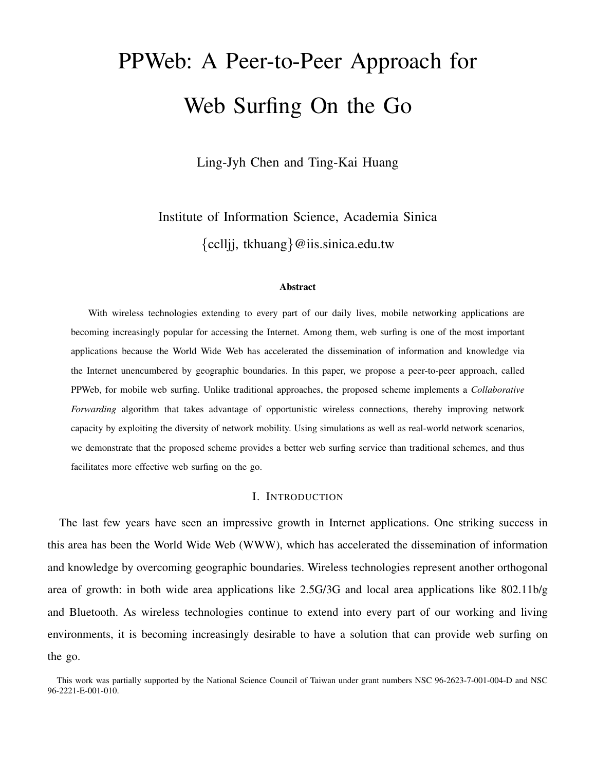# PPWeb: A Peer-to-Peer Approach for Web Surfing On the Go

Ling-Jyh Chen and Ting-Kai Huang

Institute of Information Science, Academia Sinica {cclljj, tkhuang}@iis.sinica.edu.tw

#### Abstract

With wireless technologies extending to every part of our daily lives, mobile networking applications are becoming increasingly popular for accessing the Internet. Among them, web surfing is one of the most important applications because the World Wide Web has accelerated the dissemination of information and knowledge via the Internet unencumbered by geographic boundaries. In this paper, we propose a peer-to-peer approach, called PPWeb, for mobile web surfing. Unlike traditional approaches, the proposed scheme implements a *Collaborative Forwarding* algorithm that takes advantage of opportunistic wireless connections, thereby improving network capacity by exploiting the diversity of network mobility. Using simulations as well as real-world network scenarios, we demonstrate that the proposed scheme provides a better web surfing service than traditional schemes, and thus facilitates more effective web surfing on the go.

### I. INTRODUCTION

The last few years have seen an impressive growth in Internet applications. One striking success in this area has been the World Wide Web (WWW), which has accelerated the dissemination of information and knowledge by overcoming geographic boundaries. Wireless technologies represent another orthogonal area of growth: in both wide area applications like 2.5G/3G and local area applications like 802.11b/g and Bluetooth. As wireless technologies continue to extend into every part of our working and living environments, it is becoming increasingly desirable to have a solution that can provide web surfing on the go.

This work was partially supported by the National Science Council of Taiwan under grant numbers NSC 96-2623-7-001-004-D and NSC 96-2221-E-001-010.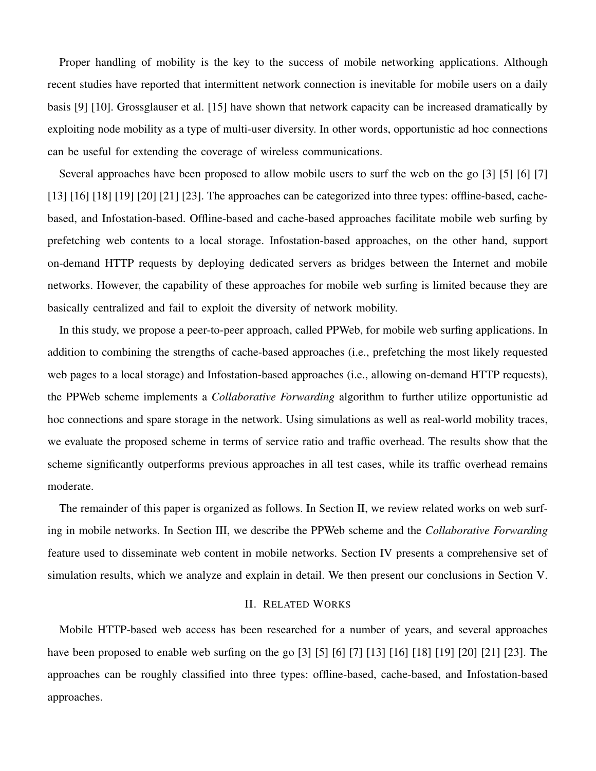Proper handling of mobility is the key to the success of mobile networking applications. Although recent studies have reported that intermittent network connection is inevitable for mobile users on a daily basis [9] [10]. Grossglauser et al. [15] have shown that network capacity can be increased dramatically by exploiting node mobility as a type of multi-user diversity. In other words, opportunistic ad hoc connections can be useful for extending the coverage of wireless communications.

Several approaches have been proposed to allow mobile users to surf the web on the go [3] [5] [6] [7] [13] [16] [18] [19] [20] [21] [23]. The approaches can be categorized into three types: offline-based, cachebased, and Infostation-based. Offline-based and cache-based approaches facilitate mobile web surfing by prefetching web contents to a local storage. Infostation-based approaches, on the other hand, support on-demand HTTP requests by deploying dedicated servers as bridges between the Internet and mobile networks. However, the capability of these approaches for mobile web surfing is limited because they are basically centralized and fail to exploit the diversity of network mobility.

In this study, we propose a peer-to-peer approach, called PPWeb, for mobile web surfing applications. In addition to combining the strengths of cache-based approaches (i.e., prefetching the most likely requested web pages to a local storage) and Infostation-based approaches (i.e., allowing on-demand HTTP requests), the PPWeb scheme implements a *Collaborative Forwarding* algorithm to further utilize opportunistic ad hoc connections and spare storage in the network. Using simulations as well as real-world mobility traces, we evaluate the proposed scheme in terms of service ratio and traffic overhead. The results show that the scheme significantly outperforms previous approaches in all test cases, while its traffic overhead remains moderate.

The remainder of this paper is organized as follows. In Section II, we review related works on web surfing in mobile networks. In Section III, we describe the PPWeb scheme and the *Collaborative Forwarding* feature used to disseminate web content in mobile networks. Section IV presents a comprehensive set of simulation results, which we analyze and explain in detail. We then present our conclusions in Section V.

# II. RELATED WORKS

Mobile HTTP-based web access has been researched for a number of years, and several approaches have been proposed to enable web surfing on the go [3] [5] [6] [7] [13] [16] [18] [19] [20] [21] [23]. The approaches can be roughly classified into three types: offline-based, cache-based, and Infostation-based approaches.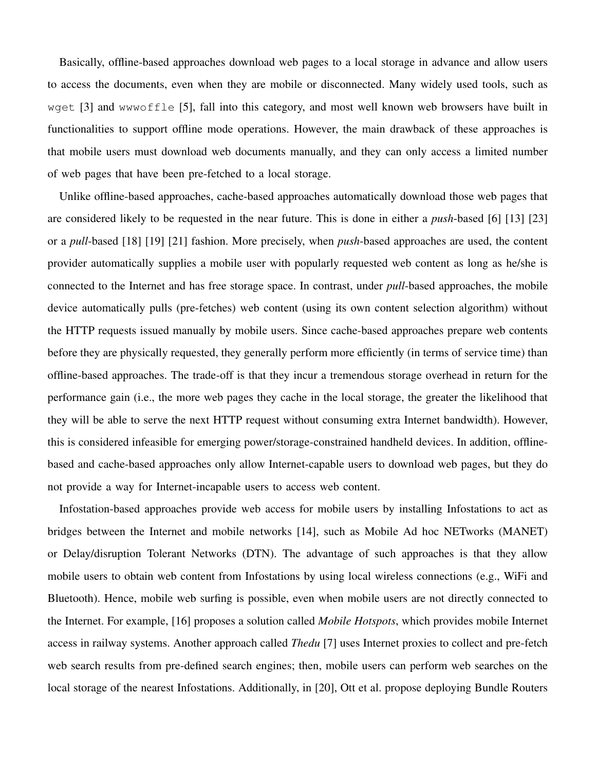Basically, offline-based approaches download web pages to a local storage in advance and allow users to access the documents, even when they are mobile or disconnected. Many widely used tools, such as wget [3] and wwwoffle [5], fall into this category, and most well known web browsers have built in functionalities to support offline mode operations. However, the main drawback of these approaches is that mobile users must download web documents manually, and they can only access a limited number of web pages that have been pre-fetched to a local storage.

Unlike offline-based approaches, cache-based approaches automatically download those web pages that are considered likely to be requested in the near future. This is done in either a *push*-based [6] [13] [23] or a *pull*-based [18] [19] [21] fashion. More precisely, when *push*-based approaches are used, the content provider automatically supplies a mobile user with popularly requested web content as long as he/she is connected to the Internet and has free storage space. In contrast, under *pull*-based approaches, the mobile device automatically pulls (pre-fetches) web content (using its own content selection algorithm) without the HTTP requests issued manually by mobile users. Since cache-based approaches prepare web contents before they are physically requested, they generally perform more efficiently (in terms of service time) than offline-based approaches. The trade-off is that they incur a tremendous storage overhead in return for the performance gain (i.e., the more web pages they cache in the local storage, the greater the likelihood that they will be able to serve the next HTTP request without consuming extra Internet bandwidth). However, this is considered infeasible for emerging power/storage-constrained handheld devices. In addition, offlinebased and cache-based approaches only allow Internet-capable users to download web pages, but they do not provide a way for Internet-incapable users to access web content.

Infostation-based approaches provide web access for mobile users by installing Infostations to act as bridges between the Internet and mobile networks [14], such as Mobile Ad hoc NETworks (MANET) or Delay/disruption Tolerant Networks (DTN). The advantage of such approaches is that they allow mobile users to obtain web content from Infostations by using local wireless connections (e.g., WiFi and Bluetooth). Hence, mobile web surfing is possible, even when mobile users are not directly connected to the Internet. For example, [16] proposes a solution called *Mobile Hotspots*, which provides mobile Internet access in railway systems. Another approach called *Thedu* [7] uses Internet proxies to collect and pre-fetch web search results from pre-defined search engines; then, mobile users can perform web searches on the local storage of the nearest Infostations. Additionally, in [20], Ott et al. propose deploying Bundle Routers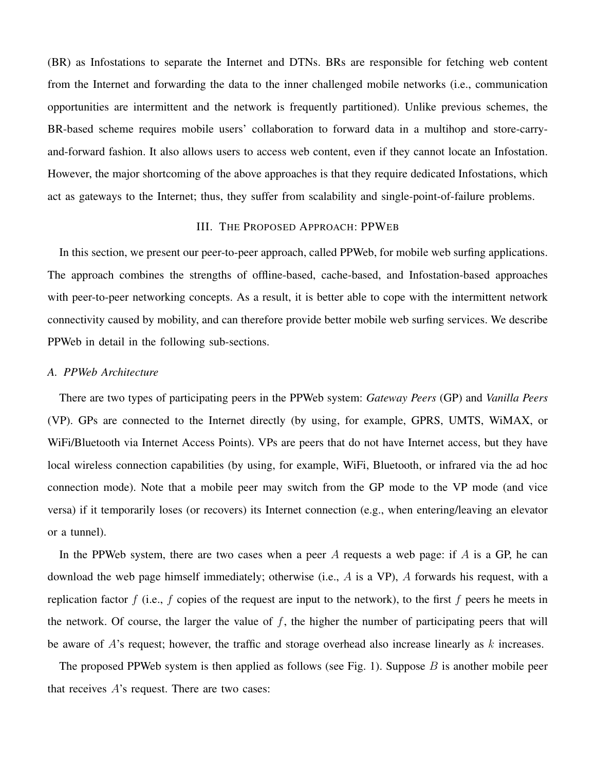(BR) as Infostations to separate the Internet and DTNs. BRs are responsible for fetching web content from the Internet and forwarding the data to the inner challenged mobile networks (i.e., communication opportunities are intermittent and the network is frequently partitioned). Unlike previous schemes, the BR-based scheme requires mobile users' collaboration to forward data in a multihop and store-carryand-forward fashion. It also allows users to access web content, even if they cannot locate an Infostation. However, the major shortcoming of the above approaches is that they require dedicated Infostations, which act as gateways to the Internet; thus, they suffer from scalability and single-point-of-failure problems.

## III. THE PROPOSED APPROACH: PPWEB

In this section, we present our peer-to-peer approach, called PPWeb, for mobile web surfing applications. The approach combines the strengths of offline-based, cache-based, and Infostation-based approaches with peer-to-peer networking concepts. As a result, it is better able to cope with the intermittent network connectivity caused by mobility, and can therefore provide better mobile web surfing services. We describe PPWeb in detail in the following sub-sections.

# *A. PPWeb Architecture*

There are two types of participating peers in the PPWeb system: *Gateway Peers* (GP) and *Vanilla Peers* (VP). GPs are connected to the Internet directly (by using, for example, GPRS, UMTS, WiMAX, or WiFi/Bluetooth via Internet Access Points). VPs are peers that do not have Internet access, but they have local wireless connection capabilities (by using, for example, WiFi, Bluetooth, or infrared via the ad hoc connection mode). Note that a mobile peer may switch from the GP mode to the VP mode (and vice versa) if it temporarily loses (or recovers) its Internet connection (e.g., when entering/leaving an elevator or a tunnel).

In the PPWeb system, there are two cases when a peer A requests a web page: if A is a GP, he can download the web page himself immediately; otherwise (i.e., A is a VP), A forwards his request, with a replication factor f (i.e., f copies of the request are input to the network), to the first f peers he meets in the network. Of course, the larger the value of  $f$ , the higher the number of participating peers that will be aware of  $\hat{A}$ 's request; however, the traffic and storage overhead also increase linearly as k increases.

The proposed PPWeb system is then applied as follows (see Fig. 1). Suppose  $B$  is another mobile peer that receives  $A$ 's request. There are two cases: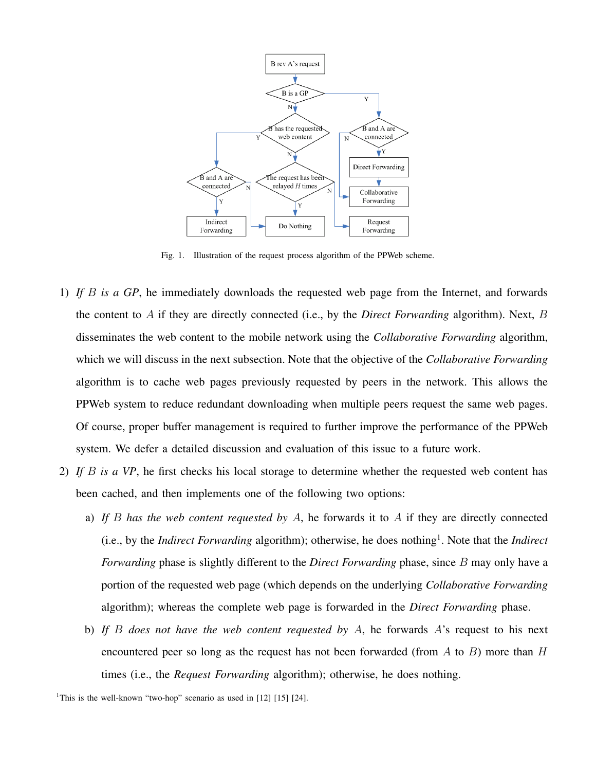

Fig. 1. Illustration of the request process algorithm of the PPWeb scheme.

- 1) *If* B *is a GP*, he immediately downloads the requested web page from the Internet, and forwards the content to A if they are directly connected (i.e., by the *Direct Forwarding* algorithm). Next, B disseminates the web content to the mobile network using the *Collaborative Forwarding* algorithm, which we will discuss in the next subsection. Note that the objective of the *Collaborative Forwarding* algorithm is to cache web pages previously requested by peers in the network. This allows the PPWeb system to reduce redundant downloading when multiple peers request the same web pages. Of course, proper buffer management is required to further improve the performance of the PPWeb system. We defer a detailed discussion and evaluation of this issue to a future work.
- 2) *If* B *is a VP*, he first checks his local storage to determine whether the requested web content has been cached, and then implements one of the following two options:
	- a) *If* B *has the web content requested by* A, he forwards it to A if they are directly connected (i.e., by the *Indirect Forwarding* algorithm); otherwise, he does nothing<sup>1</sup>. Note that the *Indirect Forwarding* phase is slightly different to the *Direct Forwarding* phase, since B may only have a portion of the requested web page (which depends on the underlying *Collaborative Forwarding* algorithm); whereas the complete web page is forwarded in the *Direct Forwarding* phase.
	- b) *If* B *does not have the web content requested by* A, he forwards A's request to his next encountered peer so long as the request has not been forwarded (from A to B) more than H times (i.e., the *Request Forwarding* algorithm); otherwise, he does nothing.

<sup>1</sup>This is the well-known "two-hop" scenario as used in [12] [15] [24].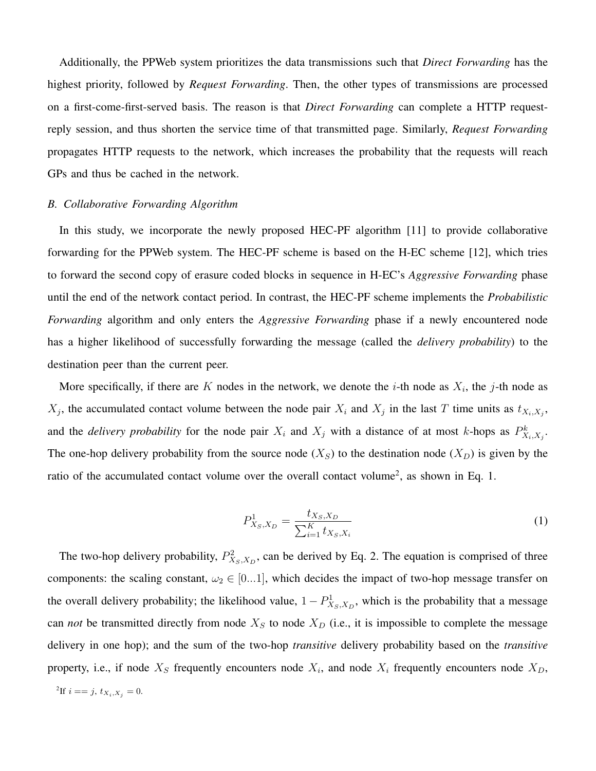Additionally, the PPWeb system prioritizes the data transmissions such that *Direct Forwarding* has the highest priority, followed by *Request Forwarding*. Then, the other types of transmissions are processed on a first-come-first-served basis. The reason is that *Direct Forwarding* can complete a HTTP requestreply session, and thus shorten the service time of that transmitted page. Similarly, *Request Forwarding* propagates HTTP requests to the network, which increases the probability that the requests will reach GPs and thus be cached in the network.

## *B. Collaborative Forwarding Algorithm*

In this study, we incorporate the newly proposed HEC-PF algorithm [11] to provide collaborative forwarding for the PPWeb system. The HEC-PF scheme is based on the H-EC scheme [12], which tries to forward the second copy of erasure coded blocks in sequence in H-EC's *Aggressive Forwarding* phase until the end of the network contact period. In contrast, the HEC-PF scheme implements the *Probabilistic Forwarding* algorithm and only enters the *Aggressive Forwarding* phase if a newly encountered node has a higher likelihood of successfully forwarding the message (called the *delivery probability*) to the destination peer than the current peer.

More specifically, if there are K nodes in the network, we denote the *i*-th node as  $X_i$ , the *j*-th node as  $X_j$ , the accumulated contact volume between the node pair  $X_i$  and  $X_j$  in the last T time units as  $t_{X_i,X_j}$ , and the *delivery probability* for the node pair  $X_i$  and  $X_j$  with a distance of at most k-hops as  $P_{X_i,X_j}^k$ . The one-hop delivery probability from the source node  $(X<sub>S</sub>)$  to the destination node  $(X<sub>D</sub>)$  is given by the ratio of the accumulated contact volume over the overall contact volume<sup>2</sup>, as shown in Eq. 1.

$$
P_{X_S, X_D}^1 = \frac{t_{X_S, X_D}}{\sum_{i=1}^K t_{X_S, X_i}}\tag{1}
$$

The two-hop delivery probability,  $P_{X_s,X_D}^2$ , can be derived by Eq. 2. The equation is comprised of three components: the scaling constant,  $\omega_2 \in [0...1]$ , which decides the impact of two-hop message transfer on the overall delivery probability; the likelihood value,  $1 - P_{X_s, X_D}^1$ , which is the probability that a message can *not* be transmitted directly from node  $X<sub>S</sub>$  to node  $X<sub>D</sub>$  (i.e., it is impossible to complete the message delivery in one hop); and the sum of the two-hop *transitive* delivery probability based on the *transitive* property, i.e., if node  $X_s$  frequently encounters node  $X_i$ , and node  $X_i$  frequently encounters node  $X_D$ ,

$$
{}^{2}\text{If } i == j, t_{X_{i}, X_{j}} = 0.
$$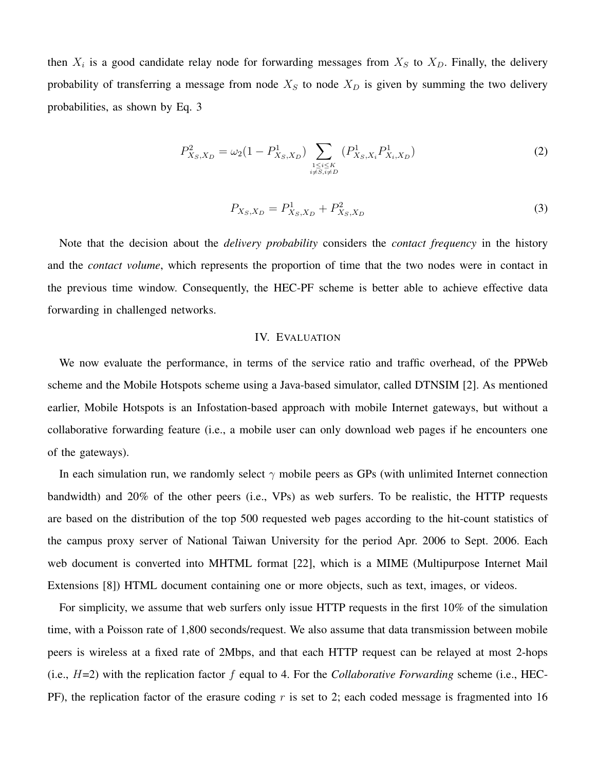then  $X_i$  is a good candidate relay node for forwarding messages from  $X_s$  to  $X_p$ . Finally, the delivery probability of transferring a message from node  $X<sub>S</sub>$  to node  $X<sub>D</sub>$  is given by summing the two delivery probabilities, as shown by Eq. 3

$$
P_{X_S, X_D}^2 = \omega_2 (1 - P_{X_S, X_D}^1) \sum_{\substack{1 \le i \le K \\ i \ne S, i \ne D}} \left( P_{X_S, X_i}^1 P_{X_i, X_D}^1 \right) \tag{2}
$$

$$
P_{X_S, X_D} = P^1_{X_S, X_D} + P^2_{X_S, X_D}
$$
\n(3)

Note that the decision about the *delivery probability* considers the *contact frequency* in the history and the *contact volume*, which represents the proportion of time that the two nodes were in contact in the previous time window. Consequently, the HEC-PF scheme is better able to achieve effective data forwarding in challenged networks.

# IV. EVALUATION

We now evaluate the performance, in terms of the service ratio and traffic overhead, of the PPWeb scheme and the Mobile Hotspots scheme using a Java-based simulator, called DTNSIM [2]. As mentioned earlier, Mobile Hotspots is an Infostation-based approach with mobile Internet gateways, but without a collaborative forwarding feature (i.e., a mobile user can only download web pages if he encounters one of the gateways).

In each simulation run, we randomly select  $\gamma$  mobile peers as GPs (with unlimited Internet connection bandwidth) and 20% of the other peers (i.e., VPs) as web surfers. To be realistic, the HTTP requests are based on the distribution of the top 500 requested web pages according to the hit-count statistics of the campus proxy server of National Taiwan University for the period Apr. 2006 to Sept. 2006. Each web document is converted into MHTML format [22], which is a MIME (Multipurpose Internet Mail Extensions [8]) HTML document containing one or more objects, such as text, images, or videos.

For simplicity, we assume that web surfers only issue HTTP requests in the first 10% of the simulation time, with a Poisson rate of 1,800 seconds/request. We also assume that data transmission between mobile peers is wireless at a fixed rate of 2Mbps, and that each HTTP request can be relayed at most 2-hops (i.e.,  $H=2$ ) with the replication factor  $f$  equal to 4. For the *Collaborative Forwarding* scheme (i.e., HEC-PF), the replication factor of the erasure coding  $r$  is set to 2; each coded message is fragmented into 16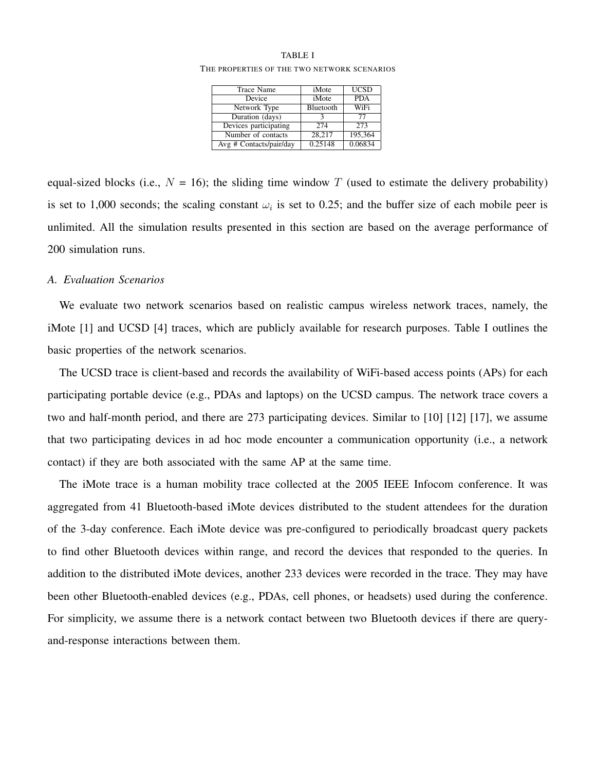#### TABLE I

#### THE PROPERTIES OF THE TWO NETWORK SCENARIOS

| Trace Name              | iMote     | <b>UCSD</b> |
|-------------------------|-----------|-------------|
| Device                  | iMote     | <b>PDA</b>  |
| Network Type            | Bluetooth | WiFi        |
| Duration (days)         |           | 77          |
| Devices participating   | 274       | 273         |
| Number of contacts      | 28,217    | 195,364     |
| Avg # Contacts/pair/day | 0.25148   | 0.06834     |

equal-sized blocks (i.e.,  $N = 16$ ); the sliding time window T (used to estimate the delivery probability) is set to 1,000 seconds; the scaling constant  $\omega_i$  is set to 0.25; and the buffer size of each mobile peer is unlimited. All the simulation results presented in this section are based on the average performance of 200 simulation runs.

### *A. Evaluation Scenarios*

We evaluate two network scenarios based on realistic campus wireless network traces, namely, the iMote [1] and UCSD [4] traces, which are publicly available for research purposes. Table I outlines the basic properties of the network scenarios.

The UCSD trace is client-based and records the availability of WiFi-based access points (APs) for each participating portable device (e.g., PDAs and laptops) on the UCSD campus. The network trace covers a two and half-month period, and there are 273 participating devices. Similar to [10] [12] [17], we assume that two participating devices in ad hoc mode encounter a communication opportunity (i.e., a network contact) if they are both associated with the same AP at the same time.

The iMote trace is a human mobility trace collected at the 2005 IEEE Infocom conference. It was aggregated from 41 Bluetooth-based iMote devices distributed to the student attendees for the duration of the 3-day conference. Each iMote device was pre-configured to periodically broadcast query packets to find other Bluetooth devices within range, and record the devices that responded to the queries. In addition to the distributed iMote devices, another 233 devices were recorded in the trace. They may have been other Bluetooth-enabled devices (e.g., PDAs, cell phones, or headsets) used during the conference. For simplicity, we assume there is a network contact between two Bluetooth devices if there are queryand-response interactions between them.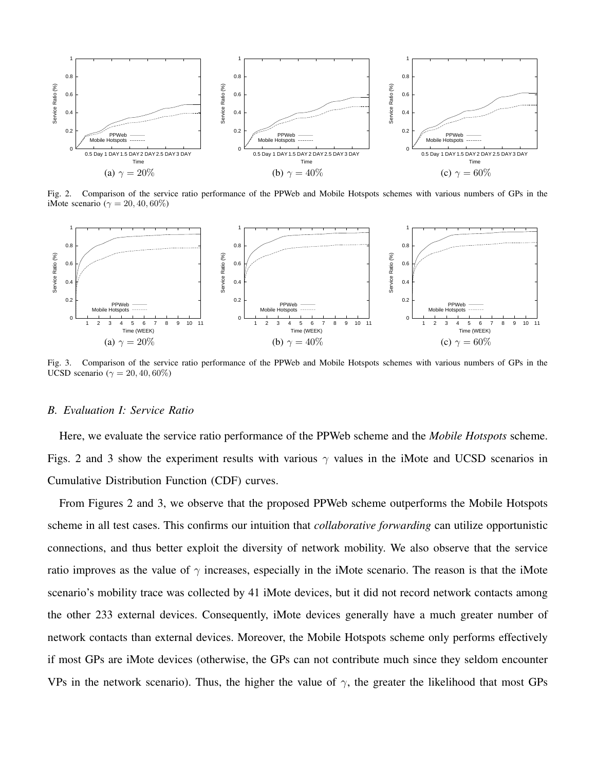

Fig. 2. Comparison of the service ratio performance of the PPWeb and Mobile Hotspots schemes with various numbers of GPs in the iMote scenario ( $\gamma = 20, 40, 60\%)$ 



Fig. 3. Comparison of the service ratio performance of the PPWeb and Mobile Hotspots schemes with various numbers of GPs in the UCSD scenario ( $\gamma = 20, 40, 60\%$ )

#### *B. Evaluation I: Service Ratio*

Here, we evaluate the service ratio performance of the PPWeb scheme and the *Mobile Hotspots* scheme. Figs. 2 and 3 show the experiment results with various  $\gamma$  values in the iMote and UCSD scenarios in Cumulative Distribution Function (CDF) curves.

From Figures 2 and 3, we observe that the proposed PPWeb scheme outperforms the Mobile Hotspots scheme in all test cases. This confirms our intuition that *collaborative forwarding* can utilize opportunistic connections, and thus better exploit the diversity of network mobility. We also observe that the service ratio improves as the value of  $\gamma$  increases, especially in the iMote scenario. The reason is that the iMote scenario's mobility trace was collected by 41 iMote devices, but it did not record network contacts among the other 233 external devices. Consequently, iMote devices generally have a much greater number of network contacts than external devices. Moreover, the Mobile Hotspots scheme only performs effectively if most GPs are iMote devices (otherwise, the GPs can not contribute much since they seldom encounter VPs in the network scenario). Thus, the higher the value of  $\gamma$ , the greater the likelihood that most GPs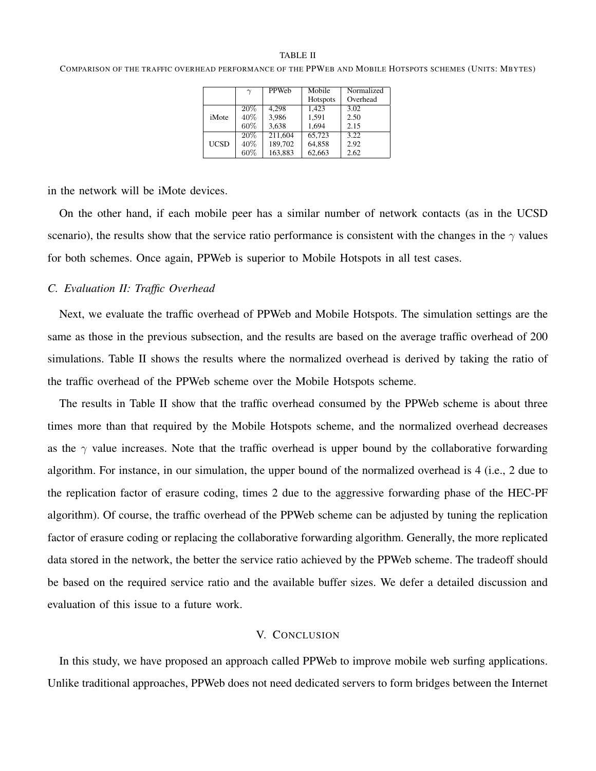#### TABLE II

COMPARISON OF THE TRAFFIC OVERHEAD PERFORMANCE OF THE PPWEB AND MOBILE HOTSPOTS SCHEMES (UNITS: MBYTES)

|             | $\gamma$ | PPWeb   | Mobile   | Normalized |
|-------------|----------|---------|----------|------------|
|             |          |         | Hotspots | Overhead   |
| iMote       | 20%      | 4.298   | 1.423    | 3.02       |
|             | 40\%     | 3.986   | 1,591    | 2.50       |
|             | 60%      | 3.638   | 1.694    | 2.15       |
| <b>UCSD</b> | 20%      | 211.604 | 65.723   | 3.22       |
|             | 40\%     | 189.702 | 64.858   | 2.92       |
|             | 60%      | 163,883 | 62.663   | 2.62       |

in the network will be iMote devices.

On the other hand, if each mobile peer has a similar number of network contacts (as in the UCSD scenario), the results show that the service ratio performance is consistent with the changes in the  $\gamma$  values for both schemes. Once again, PPWeb is superior to Mobile Hotspots in all test cases.

# *C. Evaluation II: Traffic Overhead*

Next, we evaluate the traffic overhead of PPWeb and Mobile Hotspots. The simulation settings are the same as those in the previous subsection, and the results are based on the average traffic overhead of 200 simulations. Table II shows the results where the normalized overhead is derived by taking the ratio of the traffic overhead of the PPWeb scheme over the Mobile Hotspots scheme.

The results in Table II show that the traffic overhead consumed by the PPWeb scheme is about three times more than that required by the Mobile Hotspots scheme, and the normalized overhead decreases as the  $\gamma$  value increases. Note that the traffic overhead is upper bound by the collaborative forwarding algorithm. For instance, in our simulation, the upper bound of the normalized overhead is 4 (i.e., 2 due to the replication factor of erasure coding, times 2 due to the aggressive forwarding phase of the HEC-PF algorithm). Of course, the traffic overhead of the PPWeb scheme can be adjusted by tuning the replication factor of erasure coding or replacing the collaborative forwarding algorithm. Generally, the more replicated data stored in the network, the better the service ratio achieved by the PPWeb scheme. The tradeoff should be based on the required service ratio and the available buffer sizes. We defer a detailed discussion and evaluation of this issue to a future work.

#### V. CONCLUSION

In this study, we have proposed an approach called PPWeb to improve mobile web surfing applications. Unlike traditional approaches, PPWeb does not need dedicated servers to form bridges between the Internet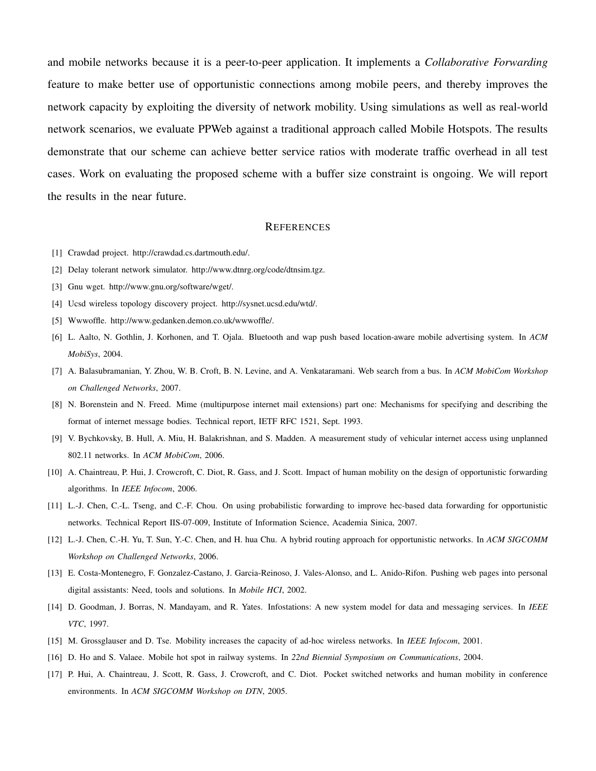and mobile networks because it is a peer-to-peer application. It implements a *Collaborative Forwarding* feature to make better use of opportunistic connections among mobile peers, and thereby improves the network capacity by exploiting the diversity of network mobility. Using simulations as well as real-world network scenarios, we evaluate PPWeb against a traditional approach called Mobile Hotspots. The results demonstrate that our scheme can achieve better service ratios with moderate traffic overhead in all test cases. Work on evaluating the proposed scheme with a buffer size constraint is ongoing. We will report the results in the near future.

#### **REFERENCES**

- [1] Crawdad project. http://crawdad.cs.dartmouth.edu/.
- [2] Delay tolerant network simulator. http://www.dtnrg.org/code/dtnsim.tgz.
- [3] Gnu wget. http://www.gnu.org/software/wget/.
- [4] Ucsd wireless topology discovery project. http://sysnet.ucsd.edu/wtd/.
- [5] Wwwoffle. http://www.gedanken.demon.co.uk/wwwoffle/.
- [6] L. Aalto, N. Gothlin, J. Korhonen, and T. Ojala. Bluetooth and wap push based location-aware mobile advertising system. In *ACM MobiSys*, 2004.
- [7] A. Balasubramanian, Y. Zhou, W. B. Croft, B. N. Levine, and A. Venkataramani. Web search from a bus. In *ACM MobiCom Workshop on Challenged Networks*, 2007.
- [8] N. Borenstein and N. Freed. Mime (multipurpose internet mail extensions) part one: Mechanisms for specifying and describing the format of internet message bodies. Technical report, IETF RFC 1521, Sept. 1993.
- [9] V. Bychkovsky, B. Hull, A. Miu, H. Balakrishnan, and S. Madden. A measurement study of vehicular internet access using unplanned 802.11 networks. In *ACM MobiCom*, 2006.
- [10] A. Chaintreau, P. Hui, J. Crowcroft, C. Diot, R. Gass, and J. Scott. Impact of human mobility on the design of opportunistic forwarding algorithms. In *IEEE Infocom*, 2006.
- [11] L.-J. Chen, C.-L. Tseng, and C.-F. Chou. On using probabilistic forwarding to improve hec-based data forwarding for opportunistic networks. Technical Report IIS-07-009, Institute of Information Science, Academia Sinica, 2007.
- [12] L.-J. Chen, C.-H. Yu, T. Sun, Y.-C. Chen, and H. hua Chu. A hybrid routing approach for opportunistic networks. In *ACM SIGCOMM Workshop on Challenged Networks*, 2006.
- [13] E. Costa-Montenegro, F. Gonzalez-Castano, J. Garcia-Reinoso, J. Vales-Alonso, and L. Anido-Rifon. Pushing web pages into personal digital assistants: Need, tools and solutions. In *Mobile HCI*, 2002.
- [14] D. Goodman, J. Borras, N. Mandayam, and R. Yates. Infostations: A new system model for data and messaging services. In *IEEE VTC*, 1997.
- [15] M. Grossglauser and D. Tse. Mobility increases the capacity of ad-hoc wireless networks. In *IEEE Infocom*, 2001.
- [16] D. Ho and S. Valaee. Mobile hot spot in railway systems. In *22nd Biennial Symposium on Communications*, 2004.
- [17] P. Hui, A. Chaintreau, J. Scott, R. Gass, J. Crowcroft, and C. Diot. Pocket switched networks and human mobility in conference environments. In *ACM SIGCOMM Workshop on DTN*, 2005.